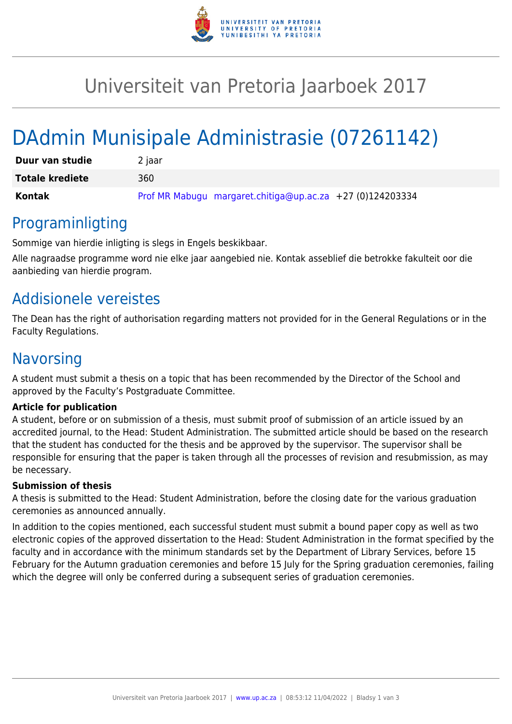

# Universiteit van Pretoria Jaarboek 2017

# DAdmin Munisipale Administrasie (07261142)

| Duur van studie        | 2 jaar                                                    |
|------------------------|-----------------------------------------------------------|
| <b>Totale krediete</b> | 360                                                       |
| Kontak                 | Prof MR Mabugu margaret.chitiga@up.ac.za +27 (0)124203334 |

### Programinligting

Sommige van hierdie inligting is slegs in Engels beskikbaar.

Alle nagraadse programme word nie elke jaar aangebied nie. Kontak asseblief die betrokke fakulteit oor die aanbieding van hierdie program.

### Addisionele vereistes

The Dean has the right of authorisation regarding matters not provided for in the General Regulations or in the Faculty Regulations.

### **Navorsing**

A student must submit a thesis on a topic that has been recommended by the Director of the School and approved by the Faculty's Postgraduate Committee.

#### **Article for publication**

A student, before or on submission of a thesis, must submit proof of submission of an article issued by an accredited journal, to the Head: Student Administration. The submitted article should be based on the research that the student has conducted for the thesis and be approved by the supervisor. The supervisor shall be responsible for ensuring that the paper is taken through all the processes of revision and resubmission, as may be necessary.

#### **Submission of thesis**

A thesis is submitted to the Head: Student Administration, before the closing date for the various graduation ceremonies as announced annually.

In addition to the copies mentioned, each successful student must submit a bound paper copy as well as two electronic copies of the approved dissertation to the Head: Student Administration in the format specified by the faculty and in accordance with the minimum standards set by the Department of Library Services, before 15 February for the Autumn graduation ceremonies and before 15 July for the Spring graduation ceremonies, failing which the degree will only be conferred during a subsequent series of graduation ceremonies.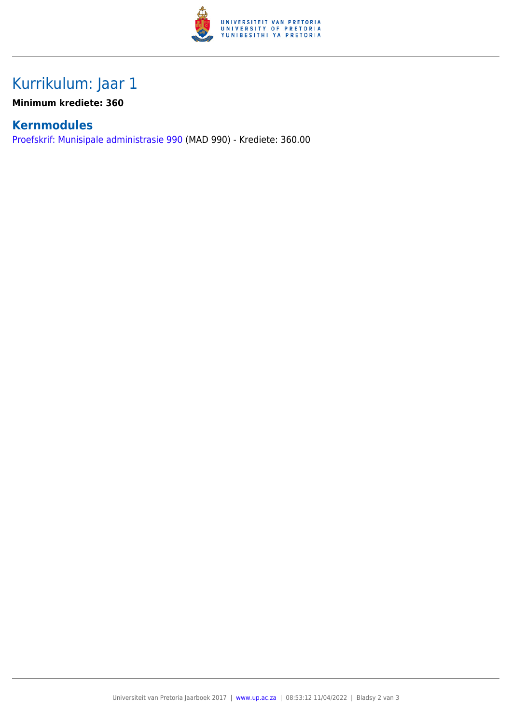

## Kurrikulum: Jaar 1

**Minimum krediete: 360**

### **Kernmodules**

[Proefskrif: Munisipale administrasie 990](https://www.up.ac.za/faculty-of-education/yearbooks/2017/modules/view/MAD 990/lg/af) (MAD 990) - Krediete: 360.00